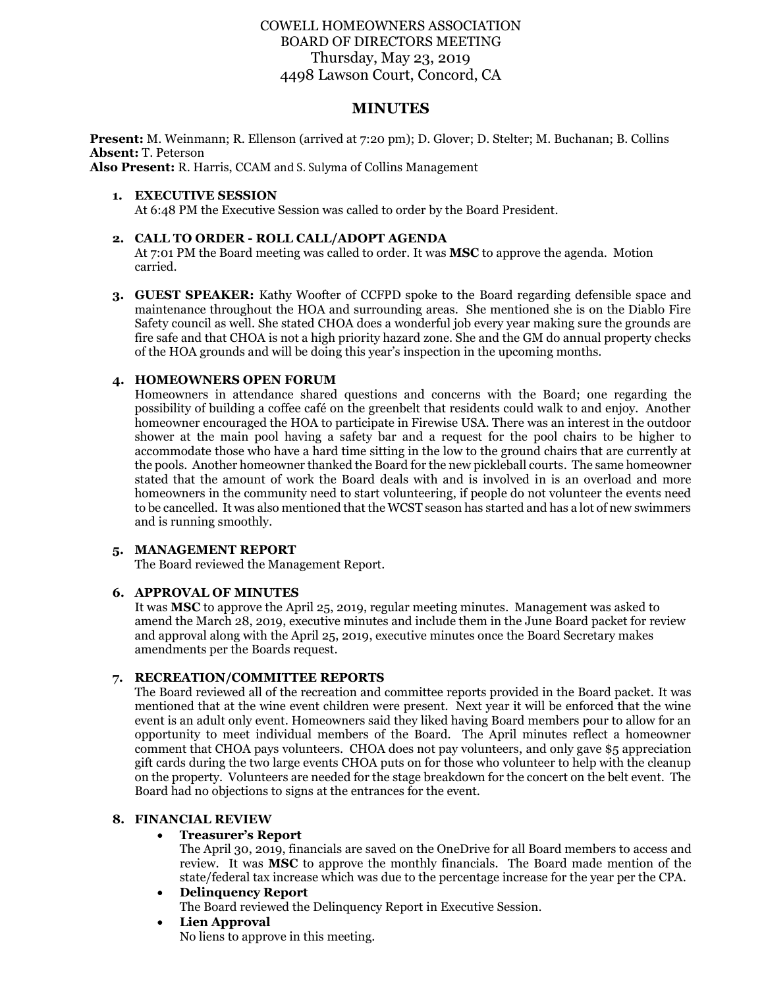# COWELL HOMEOWNERS ASSOCIATION BOARD OF DIRECTORS MEETING Thursday, May 23, 2019 4498 Lawson Court, Concord, CA

# **MINUTES**

**Present:** M. Weinmann; R. Ellenson (arrived at 7:20 pm); D. Glover; D. Stelter; M. Buchanan; B. Collins **Absent:** T. Peterson

**Also Present:** R. Harris, CCAM and S. Sulyma of Collins Management

#### **1. EXECUTIVE SESSION** At 6:48 PM the Executive Session was called to order by the Board President.

### **2. CALL TO ORDER - ROLL CALL/ADOPT AGENDA**

At 7:01 PM the Board meeting was called to order. It was **MSC** to approve the agenda. Motion carried.

**3. GUEST SPEAKER:** Kathy Woofter of CCFPD spoke to the Board regarding defensible space and maintenance throughout the HOA and surrounding areas. She mentioned she is on the Diablo Fire Safety council as well. She stated CHOA does a wonderful job every year making sure the grounds are fire safe and that CHOA is not a high priority hazard zone. She and the GM do annual property checks of the HOA grounds and will be doing this year's inspection in the upcoming months.

## **4. HOMEOWNERS OPEN FORUM**

Homeowners in attendance shared questions and concerns with the Board; one regarding the possibility of building a coffee café on the greenbelt that residents could walk to and enjoy. Another homeowner encouraged the HOA to participate in Firewise USA. There was an interest in the outdoor shower at the main pool having a safety bar and a request for the pool chairs to be higher to accommodate those who have a hard time sitting in the low to the ground chairs that are currently at the pools. Another homeowner thanked the Board for the new pickleball courts. The same homeowner stated that the amount of work the Board deals with and is involved in is an overload and more homeowners in the community need to start volunteering, if people do not volunteer the events need to be cancelled. It was also mentioned that the WCST season has started and has a lot of new swimmers and is running smoothly.

## **5. MANAGEMENT REPORT**

The Board reviewed the Management Report.

#### **6. APPROVAL OF MINUTES**

It was **MSC** to approve the April 25, 2019, regular meeting minutes. Management was asked to amend the March 28, 2019, executive minutes and include them in the June Board packet for review and approval along with the April 25, 2019, executive minutes once the Board Secretary makes amendments per the Boards request.

#### **7. RECREATION/COMMITTEE REPORTS**

The Board reviewed all of the recreation and committee reports provided in the Board packet. It was mentioned that at the wine event children were present. Next year it will be enforced that the wine event is an adult only event. Homeowners said they liked having Board members pour to allow for an opportunity to meet individual members of the Board. The April minutes reflect a homeowner comment that CHOA pays volunteers. CHOA does not pay volunteers, and only gave \$5 appreciation gift cards during the two large events CHOA puts on for those who volunteer to help with the cleanup on the property. Volunteers are needed for the stage breakdown for the concert on the belt event. The Board had no objections to signs at the entrances for the event.

### **8. FINANCIAL REVIEW**

#### • **Treasurer's Report**

The April 30, 2019, financials are saved on the OneDrive for all Board members to access and review. It was **MSC** to approve the monthly financials. The Board made mention of the state/federal tax increase which was due to the percentage increase for the year per the CPA.

#### • **Delinquency Report**

The Board reviewed the Delinquency Report in Executive Session.

• **Lien Approval** No liens to approve in this meeting.